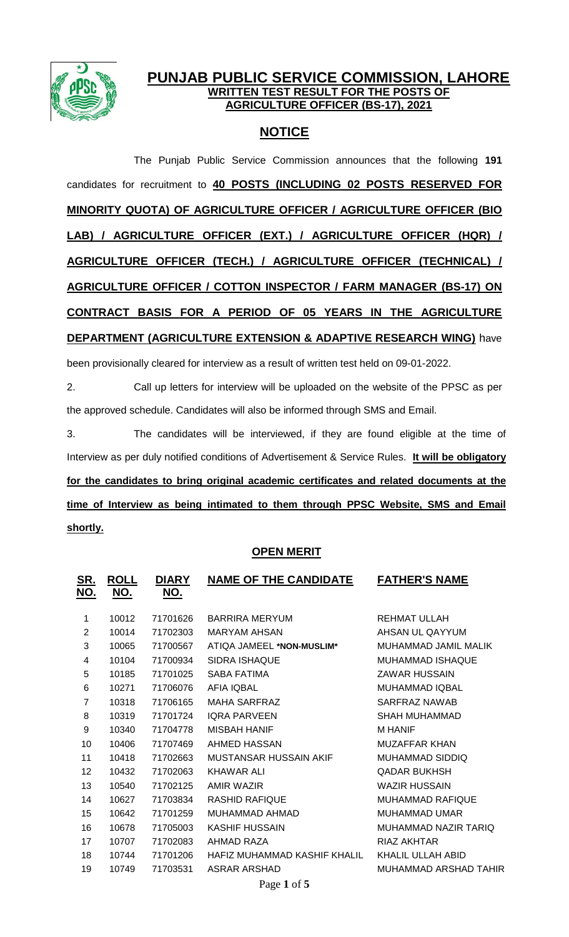

## **PUNJAB PUBLIC SERVICE COMMISSION, LAHORE WRITTEN TEST RESULT FOR THE POSTS OF AGRICULTURE OFFICER (BS-17), 2021**

## **NOTICE**

The Punjab Public Service Commission announces that the following **191** candidates for recruitment to **40 POSTS (INCLUDING 02 POSTS RESERVED FOR MINORITY QUOTA) OF AGRICULTURE OFFICER / AGRICULTURE OFFICER (BIO LAB) / AGRICULTURE OFFICER (EXT.) / AGRICULTURE OFFICER (HQR) / AGRICULTURE OFFICER (TECH.) / AGRICULTURE OFFICER (TECHNICAL) / AGRICULTURE OFFICER / COTTON INSPECTOR / FARM MANAGER (BS-17) ON CONTRACT BASIS FOR A PERIOD OF 05 YEARS IN THE AGRICULTURE DEPARTMENT (AGRICULTURE EXTENSION & ADAPTIVE RESEARCH WING)** have been provisionally cleared for interview as a result of written test held on 09-01-2022.

2. Call up letters for interview will be uploaded on the website of the PPSC as per the approved schedule. Candidates will also be informed through SMS and Email.

3. The candidates will be interviewed, if they are found eligible at the time of Interview as per duly notified conditions of Advertisement & Service Rules. **It will be obligatory for the candidates to bring original academic certificates and related documents at the time of Interview as being intimated to them through PPSC Website, SMS and Email shortly.**

## **OPEN MERIT**

| <u>SR.</u><br><u>NO.</u> | <b>ROLL</b><br><u>NO.</u> | <b>DIARY</b><br><u>NO.</u> | <b>NAME OF THE CANDIDATE</b> | <b>FATHER'S NAME</b>    |
|--------------------------|---------------------------|----------------------------|------------------------------|-------------------------|
| 1                        | 10012                     | 71701626                   | <b>BARRIRA MERYUM</b>        | REHMAT ULLAH            |
| $\overline{2}$           | 10014                     | 71702303                   | <b>MARYAM AHSAN</b>          | AHSAN UL QAYYUM         |
| 3                        | 10065                     | 71700567                   | ATIQA JAMEEL *NON-MUSLIM*    | MUHAMMAD JAMIL MALIK    |
| 4                        | 10104                     | 71700934                   | <b>SIDRA ISHAQUE</b>         | <b>MUHAMMAD ISHAQUE</b> |
| 5                        | 10185                     | 71701025                   | <b>SABA FATIMA</b>           | <b>ZAWAR HUSSAIN</b>    |
| 6                        | 10271                     | 71706076                   | <b>AFIA IQBAL</b>            | <b>MUHAMMAD IQBAL</b>   |
| $\overline{7}$           | 10318                     | 71706165                   | <b>MAHA SARFRAZ</b>          | <b>SARFRAZ NAWAB</b>    |
| 8                        | 10319                     | 71701724                   | <b>IQRA PARVEEN</b>          | <b>SHAH MUHAMMAD</b>    |
| 9                        | 10340                     | 71704778                   | <b>MISBAH HANIF</b>          | <b>M HANIF</b>          |
| 10                       | 10406                     | 71707469                   | AHMED HASSAN                 | <b>MUZAFFAR KHAN</b>    |
| 11                       | 10418                     | 71702663                   | MUSTANSAR HUSSAIN AKIF       | MUHAMMAD SIDDIQ         |
| 12                       | 10432                     | 71702063                   | <b>KHAWAR ALI</b>            | <b>QADAR BUKHSH</b>     |
| 13                       | 10540                     | 71702125                   | <b>AMIR WAZIR</b>            | <b>WAZIR HUSSAIN</b>    |
| 14                       | 10627                     | 71703834                   | <b>RASHID RAFIQUE</b>        | <b>MUHAMMAD RAFIQUE</b> |
| 15                       | 10642                     | 71701259                   | MUHAMMAD AHMAD               | <b>MUHAMMAD UMAR</b>    |
| 16                       | 10678                     | 71705003                   | <b>KASHIF HUSSAIN</b>        | MUHAMMAD NAZIR TARIQ    |
| 17                       | 10707                     | 71702083                   | AHMAD RAZA                   | <b>RIAZ AKHTAR</b>      |
| 18                       | 10744                     | 71701206                   | HAFIZ MUHAMMAD KASHIF KHALIL | KHALIL ULLAH ABID       |
| 19                       | 10749                     | 71703531                   | <b>ASRAR ARSHAD</b>          | MUHAMMAD ARSHAD TAHIR   |
|                          |                           |                            |                              |                         |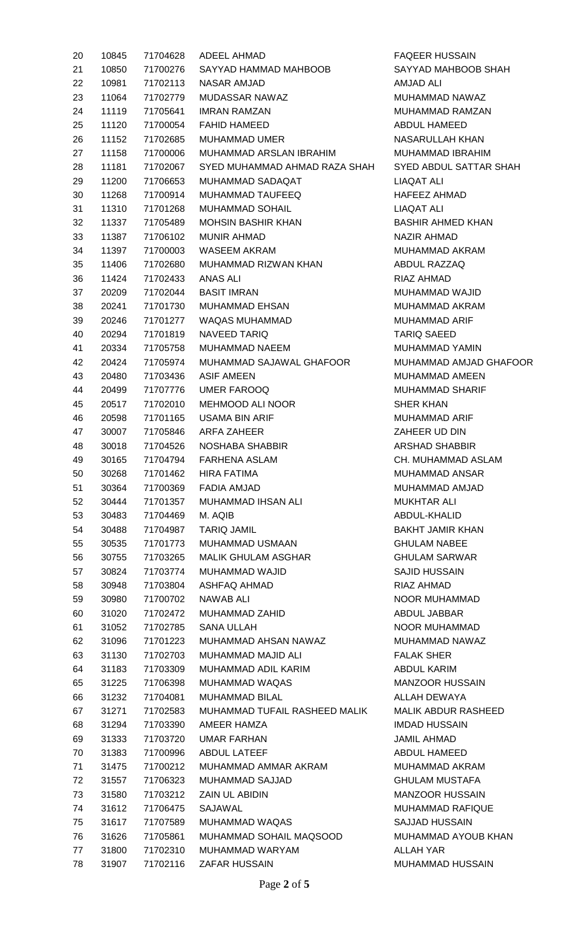| 20 | 10845 | 71704628 | <b>ADEEL AHMAD</b>            |
|----|-------|----------|-------------------------------|
| 21 | 10850 | 71700276 | SAYYAD HAMMAD MAHBOOB         |
| 22 | 10981 | 71702113 | <b>NASAR AMJAD</b>            |
| 23 | 11064 | 71702779 | MUDASSAR NAWAZ                |
| 24 | 11119 | 71705641 | <b>IMRAN RAMZAN</b>           |
| 25 | 11120 | 71700054 | FAHID HAMEED                  |
| 26 | 11152 | 71702685 | <b>MUHAMMAD UMER</b>          |
| 27 | 11158 | 71700006 | MUHAMMAD ARSLAN IBRAHIM       |
| 28 | 11181 | 71702067 | SYED MUHAMMAD AHMAD RAZA SHAH |
| 29 | 11200 | 71706653 | MUHAMMAD SADAQAT              |
| 30 | 11268 | 71700914 | MUHAMMAD TAUFEEQ              |
| 31 | 11310 | 71701268 | <b>MUHAMMAD SOHAIL</b>        |
| 32 | 11337 | 71705489 | <b>MOHSIN BASHIR KHAN</b>     |
| 33 | 11387 | 71706102 | MUNIR AHMAD                   |
| 34 | 11397 | 71700003 | <b>WASEEM AKRAM</b>           |
| 35 | 11406 | 71702680 | MUHAMMAD RIZWAN KHAN          |
| 36 | 11424 | 71702433 | ANAS ALI                      |
| 37 | 20209 | 71702044 | <b>BASIT IMRAN</b>            |
| 38 | 20241 | 71701730 | <b>MUHAMMAD EHSAN</b>         |
| 39 | 20246 |          | 71701277 WAQAS MUHAMMAD       |
| 40 | 20294 | 71701819 | <b>NAVEED TARIQ</b>           |
| 41 | 20334 | 71705758 | <b>MUHAMMAD NAEEM</b>         |
| 42 | 20424 | 71705974 | MUHAMMAD SAJAWAL GHAFOOR      |
| 43 | 20480 | 71703436 | <b>ASIF AMEEN</b>             |
| 44 | 20499 | 71707776 | UMER FAROOQ                   |
| 45 | 20517 | 71702010 | <b>MEHMOOD ALI NOOR</b>       |
| 46 | 20598 | 71701165 | <b>USAMA BIN ARIF</b>         |
| 47 | 30007 | 71705846 | ARFA ZAHEER                   |
| 48 | 30018 | 71704526 | NOSHABA SHABBIR               |
| 49 | 30165 | 71704794 | FARHENA ASLAM                 |
| 50 | 30268 | 71701462 | <b>HIRA FATIMA</b>            |
| 51 | 30364 | 71700369 | FADIA AMJAD                   |
| 52 | 30444 | 71701357 | MUHAMMAD IHSAN ALI            |
| 53 | 30483 | 71704469 | M. AQIB                       |
| 54 | 30488 | 71704987 | <b>TARIQ JAMIL</b>            |
| 55 | 30535 | 71701773 | MUHAMMAD USMAAN               |
| 56 | 30755 | 71703265 | <b>MALIK GHULAM ASGHAR</b>    |
| 57 | 30824 | 71703774 | MUHAMMAD WAJID                |
| 58 | 30948 | 71703804 | <b>ASHFAQ AHMAD</b>           |
| 59 | 30980 | 71700702 | NAWAB ALI                     |
| 60 | 31020 | 71702472 | <b>MUHAMMAD ZAHID</b>         |
| 61 | 31052 | 71702785 | SANA ULLAH                    |
| 62 | 31096 | 71701223 | MUHAMMAD AHSAN NAWAZ          |
| 63 | 31130 | 71702703 | MUHAMMAD MAJID ALI            |
| 64 | 31183 | 71703309 | MUHAMMAD ADIL KARIM           |
| 65 | 31225 | 71706398 | MUHAMMAD WAQAS                |
| 66 | 31232 | 71704081 | <b>MUHAMMAD BILAL</b>         |
| 67 | 31271 | 71702583 | MUHAMMAD TUFAIL RASHEED MALIK |
| 68 | 31294 | 71703390 | AMEER HAMZA                   |
| 69 | 31333 | 71703720 | UMAR FARHAN                   |
| 70 | 31383 | 71700996 | ABDUL LATEEF                  |
| 71 | 31475 | 71700212 | MUHAMMAD AMMAR AKRAM          |
| 72 | 31557 | 71706323 | MUHAMMAD SAJJAD               |
| 73 | 31580 | 71703212 | <b>ZAIN UL ABIDIN</b>         |
| 74 | 31612 | 71706475 | SAJAWAL                       |
| 75 | 31617 | 71707589 | MUHAMMAD WAQAS                |
| 76 | 31626 | 71705861 | MUHAMMAD SOHAIL MAQSOOD       |
| 77 | 31800 | 71702310 | MUHAMMAD WARYAM               |
| 78 | 31907 | 71702116 | ZAFAR HUSSAIN                 |

FAQEER HUSSAIN SAYYAD MAHBOOB SHAH AMJAD ALI MUHAMMAD NAWAZ MUHAMMAD RAMZAN ABDUL HAMEED NASARULLAH KHAN MUHAMMAD IBRAHIM SYED ABDUL SATTAR SHAH LIAQAT ALI HAFEEZ AHMAD LIAQAT ALI BASHIR AHMED KHAN NAZIR AHMAD MUHAMMAD AKRAM ABDUL RAZZAQ RIAZ AHMAD MUHAMMAD WAJID MUHAMMAD AKRAM MUHAMMAD ARIF TARIQ SAEED MUHAMMAD YAMIN MUHAMMAD AMJAD GHAFOOR MUHAMMAD AMEEN MUHAMMAD SHARIF **SHER KHAN** MUHAMMAD ARIF ZAHEER UD DIN ARSHAD SHABBIR CH. MUHAMMAD ASLAM MUHAMMAD ANSAR MUHAMMAD AMJAD MUKHTAR ALI ABDUL-KHALID BAKHT JAMIR KHAN **GHULAM NABEE GHULAM SARWAR** SAJID HUSSAIN RIAZ AHMAD NOOR MUHAMMAD ABDUL JABBAR NOOR MUHAMMAD MUHAMMAD NAWAZ FALAK SHER ABDUL KARIM MANZOOR HUSSAIN ALLAH DEWAYA MALIK ABDUR RASHEED IMDAD HUSSAIN JAMIL AHMAD ABDUL HAMEED MUHAMMAD AKRAM GHULAM MUSTAFA MANZOOR HUSSAIN MUHAMMAD RAFIQUE SAJJAD HUSSAIN MUHAMMAD AYOUB KHAN ALLAH YAR MUHAMMAD HUSSAIN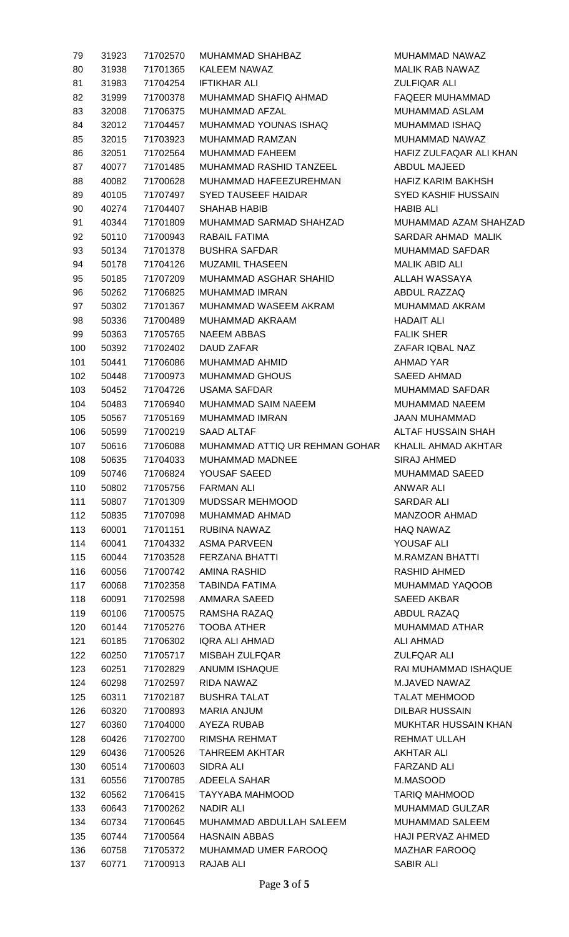| 79  | 31923 | 71702570 | MUHAMMAD SHAHBAZ             |
|-----|-------|----------|------------------------------|
| 80  | 31938 | 71701365 | KALEEM NAWAZ                 |
| 81  | 31983 | 71704254 | IFTIKHAR ALI                 |
| 82  | 31999 | 71700378 | MUHAMMAD SHAFIQ AHMAD        |
| 83  | 32008 | 71706375 | <b>MUHAMMAD AFZAL</b>        |
| 84  | 32012 | 71704457 | MUHAMMAD YOUNAS ISHAQ        |
| 85  | 32015 | 71703923 | <b>MUHAMMAD RAMZAN</b>       |
| 86  | 32051 | 71702564 | MUHAMMAD FAHEEM              |
| 87  | 40077 | 71701485 | MUHAMMAD RASHID TANZEEL      |
| 88  | 40082 | 71700628 | MUHAMMAD HAFEEZUREHMAN       |
| 89  | 40105 | 71707497 | <b>SYED TAUSEEF HAIDAR</b>   |
| 90  | 40274 | 71704407 | SHAHAB HABIB                 |
| 91  | 40344 | 71701809 | MUHAMMAD SARMAD SHAHZAD      |
| 92  | 50110 | 71700943 | RABAIL FATIMA                |
| 93  | 50134 | 71701378 | <b>BUSHRA SAFDAR</b>         |
|     |       | 71704126 |                              |
| 94  | 50178 |          | <b>MUZAMIL THASEEN</b>       |
| 95  | 50185 | 71707209 | MUHAMMAD ASGHAR SHAHID       |
| 96  | 50262 | 71706825 | <b>MUHAMMAD IMRAN</b>        |
| 97  | 50302 | 71701367 | MUHAMMAD WASEEM AKRAM        |
| 98  | 50336 | 71700489 | MUHAMMAD AKRAAM              |
| 99  | 50363 | 71705765 | NAEEM ABBAS                  |
| 100 | 50392 | 71702402 | DAUD ZAFAR                   |
| 101 | 50441 | 71706086 | MUHAMMAD AHMID               |
| 102 | 50448 | 71700973 | <b>MUHAMMAD GHOUS</b>        |
| 103 | 50452 | 71704726 | <b>USAMA SAFDAR</b>          |
| 104 | 50483 | 71706940 | MUHAMMAD SAIM NAEEM          |
| 105 | 50567 | 71705169 | <b>MUHAMMAD IMRAN</b>        |
| 106 | 50599 | 71700219 | SAAD ALTAF                   |
| 107 | 50616 | 71706088 | MUHAMMAD ATTIQ UR REHMAN GOI |
| 108 | 50635 | 71704033 | <b>MUHAMMAD MADNEE</b>       |
| 109 | 50746 | 71706824 | YOUSAF SAEED                 |
| 110 | 50802 | 71705756 | <b>FARMAN ALI</b>            |
| 111 | 50807 | 71701309 | <b>MUDSSAR MEHMOOD</b>       |
| 112 | 50835 | 71707098 | MUHAMMAD AHMAD               |
| 113 | 60001 | 71701151 | RUBINA NAWAZ                 |
| 114 | 60041 | 71704332 | ASMA PARVEEN                 |
| 115 | 60044 | 71703528 | <b>FERZANA BHATTI</b>        |
| 116 | 60056 | 71700742 | AMINA RASHID                 |
| 117 | 60068 | 71702358 | <b>TABINDA FATIMA</b>        |
| 118 | 60091 | 71702598 | AMMARA SAEED                 |
| 119 | 60106 | 71700575 | RAMSHA RAZAQ                 |
| 120 | 60144 | 71705276 | <b>TOOBA ATHER</b>           |
| 121 | 60185 | 71706302 | <b>IQRA ALI AHMAD</b>        |
| 122 | 60250 | 71705717 | <b>MISBAH ZULFQAR</b>        |
| 123 | 60251 | 71702829 | ANUMM ISHAQUE                |
| 124 | 60298 | 71702597 | RIDA NAWAZ                   |
| 125 | 60311 | 71702187 | <b>BUSHRA TALAT</b>          |
| 126 | 60320 | 71700893 | <b>MARIA ANJUM</b>           |
| 127 | 60360 | 71704000 | AYEZA RUBAB                  |
| 128 | 60426 | 71702700 | RIMSHA REHMAT                |
| 129 | 60436 | 71700526 | <b>TAHREEM AKHTAR</b>        |
| 130 | 60514 | 71700603 | <b>SIDRA ALI</b>             |
| 131 | 60556 | 71700785 | ADEELA SAHAR                 |
| 132 | 60562 | 71706415 | TAYYABA MAHMOOD              |
| 133 | 60643 | 71700262 | <b>NADIR ALI</b>             |
| 134 | 60734 | 71700645 | MUHAMMAD ABDULLAH SALEEM     |
| 135 | 60744 | 71700564 | <b>HASNAIN ABBAS</b>         |
| 136 | 60758 | 71705372 | MUHAMMAD UMER FAROOQ         |
| 137 | 60771 | 71700913 | RAJAB ALI                    |

MUHAMMAD NAWAZ MALIK RAB NAWAZ **ZULFIQAR ALI** FAQEER MUHAMMAD MUHAMMAD ASLAM MUHAMMAD ISHAQ MUHAMMAD NAWAZ HAFIZ ZULFAQAR ALI KHAN ABDUL MAJEED HAFIZ KARIM BAKHSH SYED KASHIF HUSSAIN HABIB ALI MUHAMMAD AZAM SHAHZAD SARDAR AHMAD MALIK MUHAMMAD SAFDAR MALIK ABID ALI ALLAH WASSAYA ABDUL RAZZAQ MUHAMMAD AKRAM HADAIT ALI **FALIK SHER** ZAFAR IQBAL NAZ AHMAD YAR SAEED AHMAD MUHAMMAD SAFDAR MUHAMMAD NAEEM JAAN MUHAMMAD ALTAF HUSSAIN SHAH HAR KHALIL AHMAD AKHTAR SIRAJ AHMED MUHAMMAD SAEED ANWAR ALI SARDAR ALI MANZOOR AHMAD HAQ NAWAZ YOUSAF ALI M.RAMZAN BHATTI RASHID AHMED MUHAMMAD YAQOOB SAEED AKBAR ABDUL RAZAQ MUHAMMAD ATHAR ALI AHMAD ZULFQAR ALI RAI MUHAMMAD ISHAQUE M.JAVED NAWAZ TALAT MEHMOOD DILBAR HUSSAIN MUKHTAR HUSSAIN KHAN REHMAT ULLAH AKHTAR ALI FARZAND ALI M.MASOOD **TARIQ MAHMOOD** MUHAMMAD GULZAR MUHAMMAD SALEEM HAJI PERVAZ AHMED MAZHAR FAROOQ SABIR ALI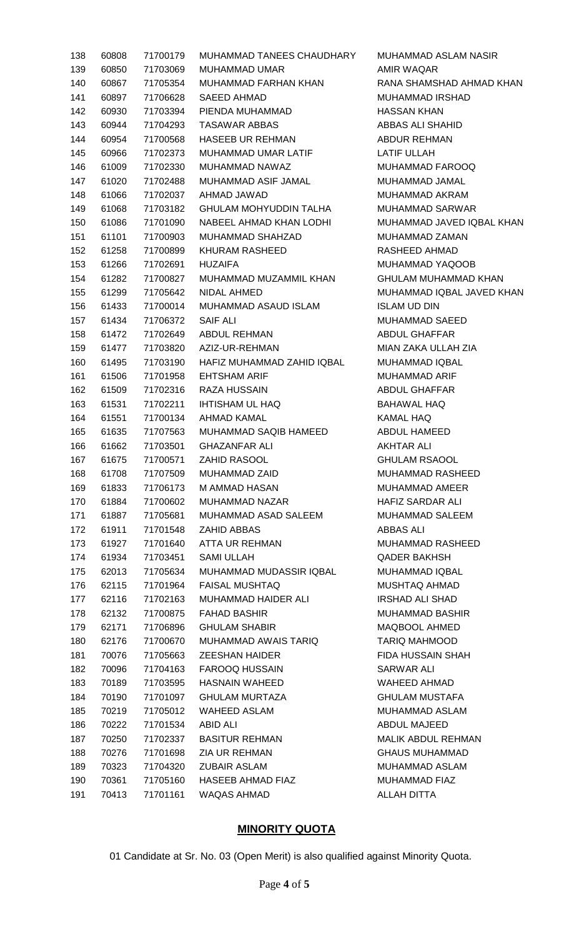| 138 | 60808 | 71700179 | <b>MUHAMMAD TANEES CHAUDHAR</b>                   |
|-----|-------|----------|---------------------------------------------------|
| 139 | 60850 | 71703069 | MUHAMMAD UMAR                                     |
| 140 | 60867 | 71705354 | MUHAMMAD FARHAN KHAN                              |
| 141 | 60897 | 71706628 | SAEED AHMAD                                       |
| 142 | 60930 | 71703394 | PIENDA MUHAMMAD                                   |
| 143 | 60944 | 71704293 | <b>TASAWAR ABBAS</b>                              |
| 144 | 60954 | 71700568 | <b>HASEEB UR REHMAN</b>                           |
| 145 | 60966 | 71702373 | <b>MUHAMMAD UMAR LATIF</b>                        |
| 146 | 61009 | 71702330 | MUHAMMAD NAWAZ                                    |
| 147 | 61020 | 71702488 | MUHAMMAD ASIF JAMAL                               |
| 148 | 61066 | 71702037 | AHMAD JAWAD                                       |
| 149 | 61068 | 71703182 | <b>GHULAM MOHYUDDIN TALHA</b>                     |
| 150 | 61086 | 71701090 | NABEEL AHMAD KHAN LODHI                           |
| 151 | 61101 | 71700903 | MUHAMMAD SHAHZAD                                  |
| 152 | 61258 | 71700899 | <b>KHURAM RASHEED</b>                             |
| 153 | 61266 | 71702691 | <b>HUZAIFA</b>                                    |
| 154 | 61282 | 71700827 | MUHAMMAD MUZAMMIL KHAN                            |
| 155 | 61299 | 71705642 | NIDAL AHMED                                       |
| 156 | 61433 | 71700014 | MUHAMMAD ASAUD ISLAM                              |
| 157 | 61434 | 71706372 | SAIF ALI                                          |
| 158 | 61472 | 71702649 | ABDUL REHMAN                                      |
| 159 | 61477 |          |                                                   |
|     |       |          | 71703820 AZIZ-UR-REHMAN                           |
| 160 | 61495 | 71703190 | HAFIZ MUHAMMAD ZAHID IQBAL<br><b>EHTSHAM ARIF</b> |
| 161 | 61506 | 71701958 |                                                   |
| 162 | 61509 | 71702316 | RAZA HUSSAIN                                      |
| 163 | 61531 | 71702211 | <b>IHTISHAM UL HAQ</b>                            |
| 164 | 61551 | 71700134 | AHMAD KAMAL                                       |
| 165 | 61635 | 71707563 | <b>MUHAMMAD SAQIB HAMEED</b>                      |
| 166 | 61662 | 71703501 | GHAZANFAR ALI                                     |
| 167 | 61675 |          | 71700571 ZAHID RASOOL                             |
| 168 | 61708 | 71707509 | <b>MUHAMMAD ZAID</b>                              |
| 169 | 61833 | 71706173 | M AMMAD HASAN                                     |
| 170 | 61884 | 71700602 | <b>MUHAMMAD NAZAR</b>                             |
| 171 | 61887 | 71705681 | MUHAMMAD ASAD SALEEM                              |
| 172 | 61911 | 71701548 | <b>ZAHID ABBAS</b>                                |
| 173 | 61927 | 71701640 | ATTA UR REHMAN                                    |
| 174 | 61934 | 71703451 | <b>SAMI ULLAH</b>                                 |
| 175 | 62013 | 71705634 | MUHAMMAD MUDASSIR IQBAL                           |
| 176 | 62115 | 71701964 | <b>FAISAL MUSHTAQ</b>                             |
| 177 | 62116 | 71702163 | <b>MUHAMMAD HAIDER ALI</b>                        |
| 178 | 62132 |          | 71700875 FAHAD BASHIR                             |
| 179 | 62171 | 71706896 | <b>GHULAM SHABIR</b>                              |
| 180 | 62176 | 71700670 | MUHAMMAD AWAIS TARIQ                              |
| 181 | 70076 | 71705663 | <b>ZEESHAN HAIDER</b>                             |
| 182 | 70096 |          | 71704163 FAROOQ HUSSAIN                           |
| 183 | 70189 | 71703595 | <b>HASNAIN WAHEED</b>                             |
| 184 | 70190 | 71701097 | <b>GHULAM MURTAZA</b>                             |
| 185 | 70219 | 71705012 | WAHEED ASLAM                                      |
| 186 | 70222 | 71701534 | ABID ALI                                          |
| 187 | 70250 | 71702337 | <b>BASITUR REHMAN</b>                             |
| 188 | 70276 | 71701698 | ZIA UR REHMAN                                     |
| 189 | 70323 | 71704320 | <b>ZUBAIR ASLAM</b>                               |
| 190 | 70361 |          | 71705160 HASEEB AHMAD FIAZ                        |
| 191 | 70413 | 71701161 | <b>WAQAS AHMAD</b>                                |
|     |       |          |                                                   |

1Y MUHAMMAD ASLAM NASIR AMIR WAQAR RANA SHAMSHAD AHMAD KHAN MUHAMMAD IRSHAD **HASSAN KHAN** ABBAS ALI SHAHID **ABDUR REHMAN** LATIF ULLAH MUHAMMAD FAROOQ MUHAMMAD JAMAL MUHAMMAD AKRAM MUHAMMAD SARWAR MUHAMMAD JAVED IQBAL KHAN MUHAMMAD ZAMAN RASHEED AHMAD MUHAMMAD YAQOOB GHULAM MUHAMMAD KHAN MUHAMMAD IQBAL JAVED KHAN **ISLAM UD DIN** MUHAMMAD SAEED ABDUL GHAFFAR MIAN ZAKA ULLAH ZIA MUHAMMAD IQBAL MUHAMMAD ARIF ABDUL GHAFFAR BAHAWAL HAQ KAMAL HAQ ABDUL HAMEED AKHTAR ALI **GHULAM RSAOOL** MUHAMMAD RASHEED MUHAMMAD AMEER HAFIZ SARDAR ALI MUHAMMAD SALEEM **ABBAS ALI** MUHAMMAD RASHEED **QADER BAKHSH** MUHAMMAD IQBAL MUSHTAQ AHMAD IRSHAD ALI SHAD MUHAMMAD BASHIR MAQBOOL AHMED TARIQ MAHMOOD FIDA HUSSAIN SHAH SARWAR ALI WAHEED AHMAD **GHULAM MUSTAFA** MUHAMMAD ASLAM ABDUL MAJEED MALIK ABDUL REHMAN **GHAUS MUHAMMAD** MUHAMMAD ASLAM MUHAMMAD FIAZ **ALLAH DITTA** 

## **MINORITY QUOTA**

01 Candidate at Sr. No. 03 (Open Merit) is also qualified against Minority Quota.